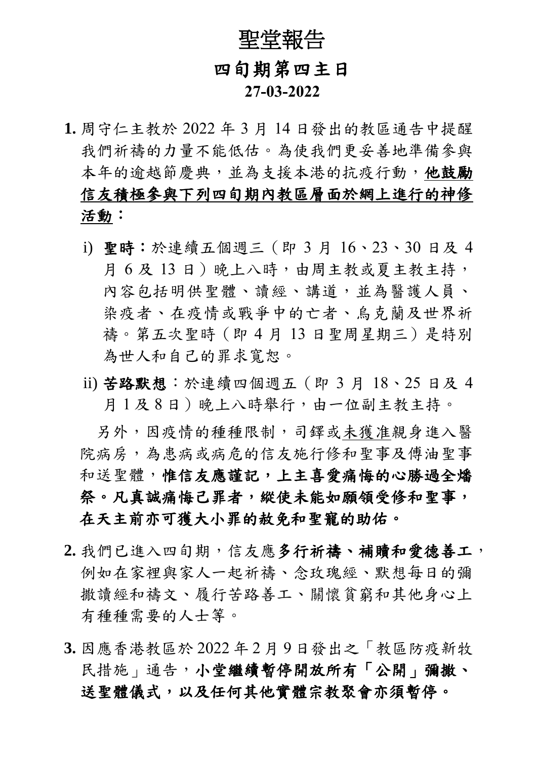## 聖堂報告 四旬期第四主日  **27-03-2022**

- **1.** 周守仁主教於 2022 年 3 月 14 日發出的教區通告中提醒 我們祈禱的力量不能低估。為使我們更妥善地準備參與 本年的逾越節慶典,並為支援本港的抗疫行動,他鼓勵 信友積極參與下列四旬期內教區層面於網上進行的神修 活動:
	- i) 聖時:於連續五個週三(即 3 月 16、23、30 日及 4 月 6 及 13 日)晚上八時,由周主教或夏主教主持, 內容包括明供聖體、讀經、講道,並為醫護人員、 染疫者、在疫情或戰爭中的亡者、烏克蘭及世界祈 禱。第五次聖時(即 4 月 13 日聖周星期三)是特別 為世人和自己的罪求寬恕。
	- ii) 苦路默想:於連續四個週五(即 3 月 18、25 日及 4 月1及8日)晚上八時舉行,由一位副主教主持。

另外,因疫情的種種限制,司鐸或未獲准親身進入醫 院病房,為患病或病危的信友施行修和聖事及傅油聖事 和送聖體,惟信友應謹記,上主喜愛痛悔的心勝過全燔 祭。凡真誠痛悔己罪者,縱使未能如願領受修和聖事, 在天主前亦可獲大小罪的赦免和聖寵的助佑。

- **2.** 我們已進入四旬期,信友應多行祈禱、補贖和愛德善工, 例如在家裡與家人一起祈禱、念玫瑰經、默想每日的彌 撒讀經和禱文、履行苦路善工、關懷貧窮和其他身心上 有種種需要的人士等。
- **3.** 因應香港教區於 2022 年 2 月 9 日發出之「教區防疫新牧 民措施,通告,小堂繼續暫停開放所有「公開」彌撒、 送聖體儀式,以及任何其他實體宗教聚會亦須暫停。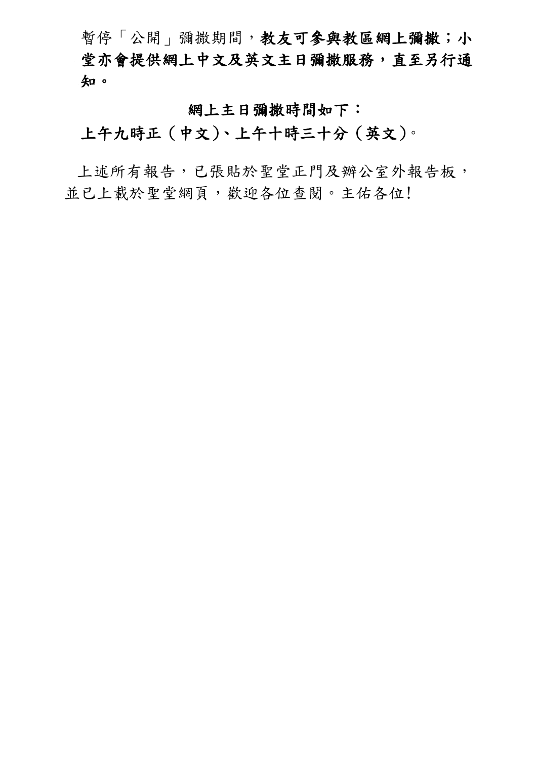暫停「公開」彌撒期間,教友可參與教區網上彌撒;小 堂亦會提供網上中文及英文主日彌撒服務,直至另行通 知。

網上主日彌撒時間如下:

上午九時正(中文)、上午十時三十分(英文)。

上述所有報告,已張貼於聖堂正門及辦公室外報告板, 並已上載於聖堂網頁,歡迎各位查閱。主佑各位!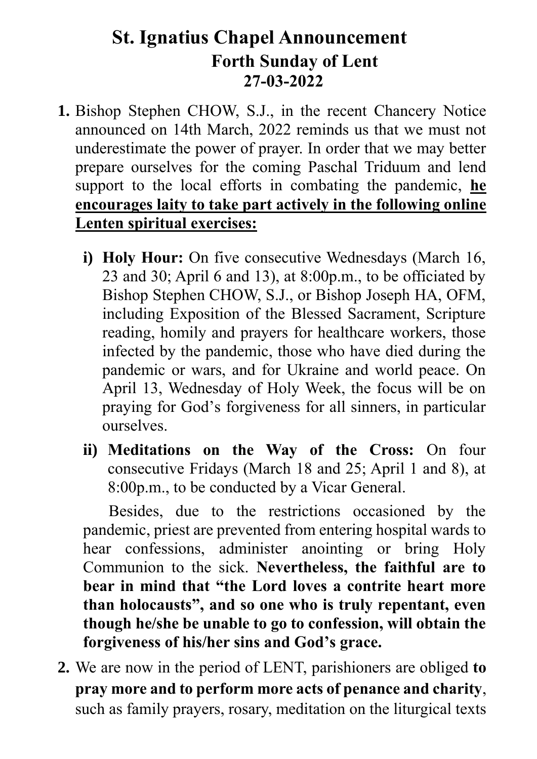## **St. Ignatius Chapel Announcement Forth Sunday of Lent 27-03-2022**

- **1.** Bishop Stephen CHOW, S.J., in the recent Chancery Notice announced on 14th March, 2022 reminds us that we must not underestimate the power of prayer. In order that we may better prepare ourselves for the coming Paschal Triduum and lend support to the local efforts in combating the pandemic, **he encourages laity to take part actively in the following online Lenten spiritual exercises:**
	- **i) Holy Hour:** On five consecutive Wednesdays (March 16, 23 and 30; April 6 and 13), at 8:00p.m., to be officiated by Bishop Stephen CHOW, S.J., or Bishop Joseph HA, OFM, including Exposition of the Blessed Sacrament, Scripture reading, homily and prayers for healthcare workers, those infected by the pandemic, those who have died during the pandemic or wars, and for Ukraine and world peace. On April 13, Wednesday of Holy Week, the focus will be on praying for God's forgiveness for all sinners, in particular ourselves.
	- **ii) Meditations on the Way of the Cross:** On four consecutive Fridays (March 18 and 25; April 1 and 8), at 8:00p.m., to be conducted by a Vicar General.

Besides, due to the restrictions occasioned by the pandemic, priest are prevented from entering hospital wards to hear confessions, administer anointing or bring Holy Communion to the sick. **Nevertheless, the faithful are to bear in mind that "the Lord loves a contrite heart more than holocausts", and so one who is truly repentant, even though he/she be unable to go to confession, will obtain the forgiveness of his/her sins and God's grace.**

**2.** We are now in the period of LENT, parishioners are obliged **to pray more and to perform more acts of penance and charity**, such as family prayers, rosary, meditation on the liturgical texts